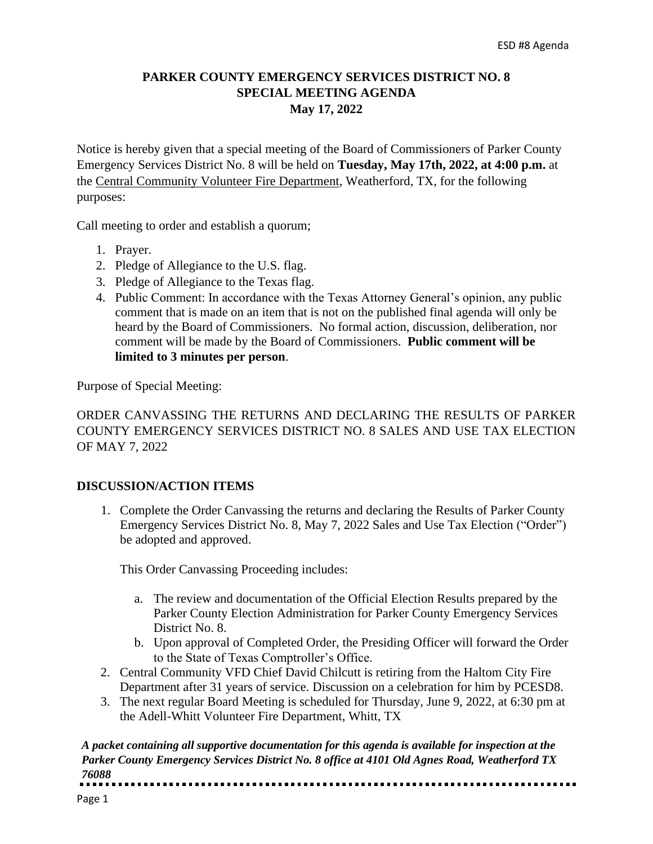## **PARKER COUNTY EMERGENCY SERVICES DISTRICT NO. 8 SPECIAL MEETING AGENDA May 17, 2022**

Notice is hereby given that a special meeting of the Board of Commissioners of Parker County Emergency Services District No. 8 will be held on **Tuesday, May 17th, 2022, at 4:00 p.m.** at the Central Community Volunteer Fire Department, Weatherford, TX, for the following purposes:

Call meeting to order and establish a quorum;

- 1. Prayer.
- 2. Pledge of Allegiance to the U.S. flag.
- 3. Pledge of Allegiance to the Texas flag.
- 4. Public Comment: In accordance with the Texas Attorney General's opinion, any public comment that is made on an item that is not on the published final agenda will only be heard by the Board of Commissioners. No formal action, discussion, deliberation, nor comment will be made by the Board of Commissioners. **Public comment will be limited to 3 minutes per person**.

Purpose of Special Meeting:

ORDER CANVASSING THE RETURNS AND DECLARING THE RESULTS OF PARKER COUNTY EMERGENCY SERVICES DISTRICT NO. 8 SALES AND USE TAX ELECTION OF MAY 7, 2022

## **DISCUSSION/ACTION ITEMS**

1. Complete the Order Canvassing the returns and declaring the Results of Parker County Emergency Services District No. 8, May 7, 2022 Sales and Use Tax Election ("Order") be adopted and approved.

This Order Canvassing Proceeding includes:

- a. The review and documentation of the Official Election Results prepared by the Parker County Election Administration for Parker County Emergency Services District No. 8.
- b. Upon approval of Completed Order, the Presiding Officer will forward the Order to the State of Texas Comptroller's Office.
- 2. Central Community VFD Chief David Chilcutt is retiring from the Haltom City Fire Department after 31 years of service. Discussion on a celebration for him by PCESD8.
- 3. The next regular Board Meeting is scheduled for Thursday, June 9, 2022, at 6:30 pm at the Adell-Whitt Volunteer Fire Department, Whitt, TX

*A packet containing all supportive documentation for this agenda is available for inspection at the Parker County Emergency Services District No. 8 office at 4101 Old Agnes Road, Weatherford TX 76088*<u>................</u>